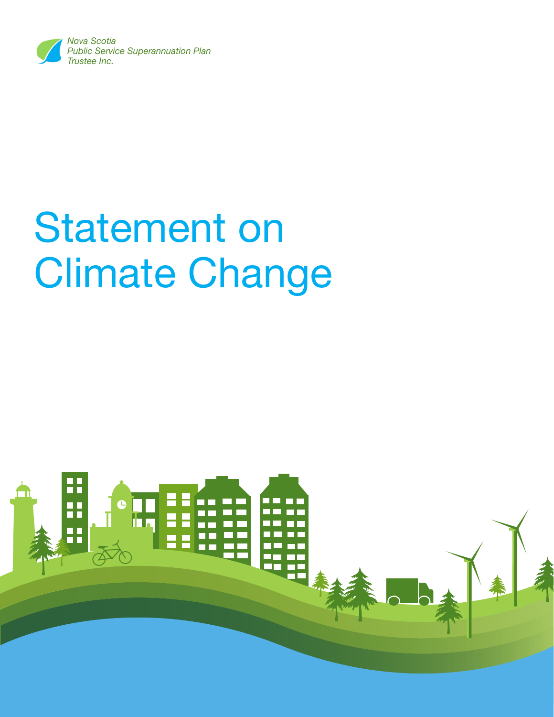

# Statement on Climate Change

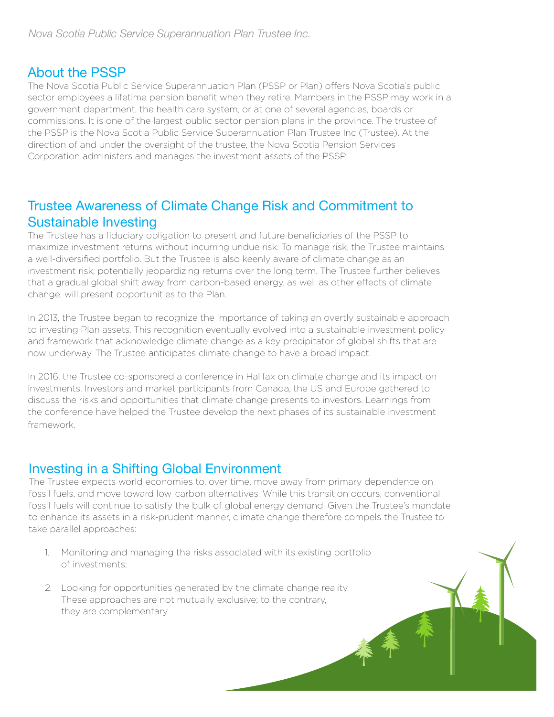#### About the PSSP

The Nova Scotia Public Service Superannuation Plan (PSSP or Plan) offers Nova Scotia's public sector employees a lifetime pension benefit when they retire. Members in the PSSP may work in a government department, the health care system, or at one of several agencies, boards or commissions. It is one of the largest public sector pension plans in the province. The trustee of the PSSP is the Nova Scotia Public Service Superannuation Plan Trustee Inc (Trustee). At the direction of and under the oversight of the trustee, the Nova Scotia Pension Services Corporation administers and manages the investment assets of the PSSP.

## Trustee Awareness of Climate Change Risk and Commitment to Sustainable Investing

The Trustee has a fiduciary obligation to present and future beneficiaries of the PSSP to maximize investment returns without incurring undue risk. To manage risk, the Trustee maintains a well-diversified portfolio. But the Trustee is also keenly aware of climate change as an investment risk, potentially jeopardizing returns over the long term. The Trustee further believes that a gradual global shift away from carbon-based energy, as well as other effects of climate change, will present opportunities to the Plan.

In 2013, the Trustee began to recognize the importance of taking an overtly sustainable approach to investing Plan assets. This recognition eventually evolved into a sustainable investment policy and framework that acknowledge climate change as a key precipitator of global shifts that are now underway. The Trustee anticipates climate change to have a broad impact.

In 2016, the Trustee co-sponsored a conference in Halifax on climate change and its impact on investments. Investors and market participants from Canada, the US and Europe gathered to discuss the risks and opportunities that climate change presents to investors. Learnings from the conference have helped the Trustee develop the next phases of its sustainable investment framework.

### Investing in a Shifting Global Environment

The Trustee expects world economies to, over time, move away from primary dependence on fossil fuels, and move toward low-carbon alternatives. While this transition occurs, conventional fossil fuels will continue to satisfy the bulk of global energy demand. Given the Trustee's mandate to enhance its assets in a risk-prudent manner, climate change therefore compels the Trustee to take parallel approaches:

- 1. Monitoring and managing the risks associated with its existing portfolio of investments;
- 2. Looking for opportunities generated by the climate change reality. These approaches are not mutually exclusive; to the contrary, they are complementary.